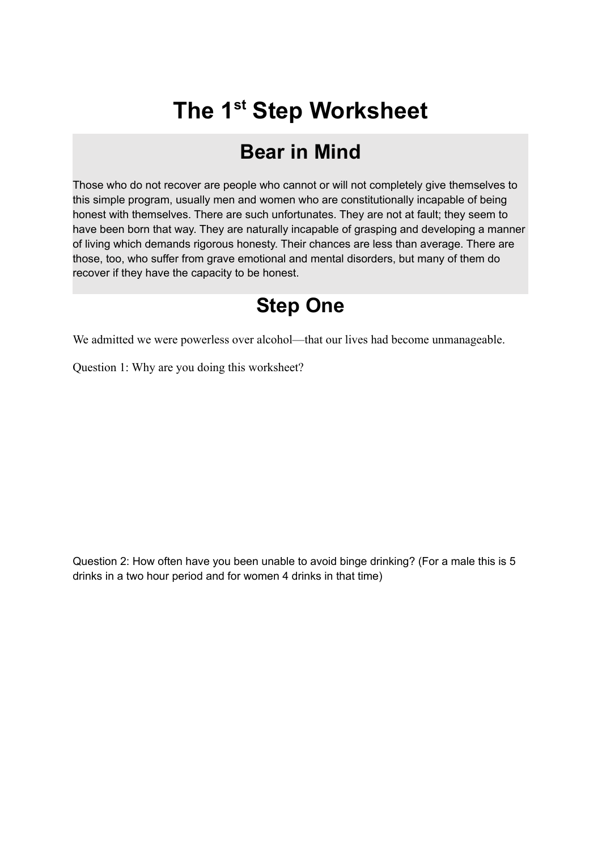## **The 1 st Step Worksheet**

## **Bear in Mind**

Those who do not recover are people who cannot or will not completely give themselves to this simple program, usually men and women who are constitutionally incapable of being honest with themselves. There are such unfortunates. They are not at fault; they seem to have been born that way. They are naturally incapable of grasping and developing a manner of living which demands rigorous honesty. Their chances are less than average. There are those, too, who suffer from grave emotional and mental disorders, but many of them do recover if they have the capacity to be honest.

## **Step One**

We admitted we were powerless over alcohol—that our lives had become unmanageable.

Question 1: Why are you doing this worksheet?

Question 2: How often have you been unable to avoid binge drinking? (For a male this is 5 drinks in a two hour period and for women 4 drinks in that time)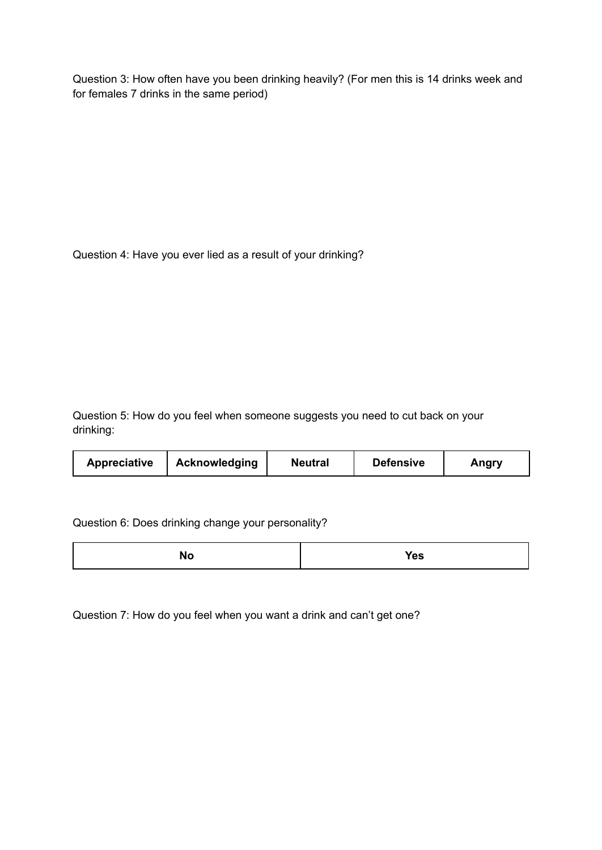Question 3: How often have you been drinking heavily? (For men this is 14 drinks week and for females 7 drinks in the same period)

Question 4: Have you ever lied as a result of your drinking?

Question 5: How do you feel when someone suggests you need to cut back on your drinking:

|--|

Question 6: Does drinking change your personality?

|--|--|

Question 7: How do you feel when you want a drink and can't get one?